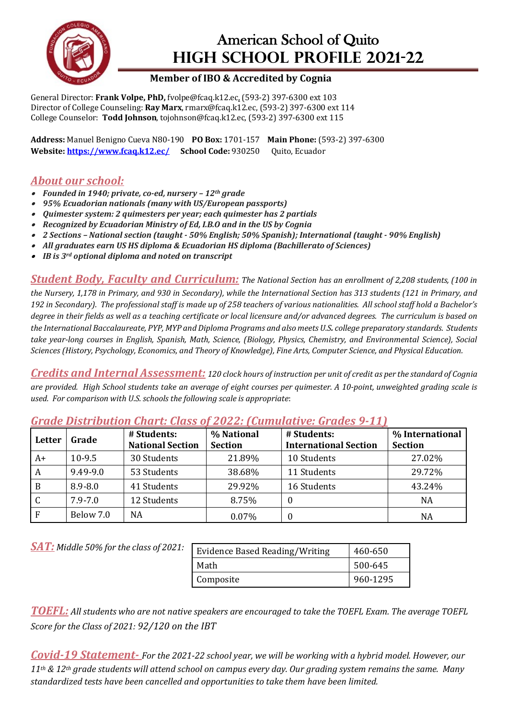

## American School of Quito **HIGH SCHOOL PROFILE 2021-22**

## **Member of IBO & Accredited by Cognia**

General Director: Frank Volpe, PhD, fvolpe@fcaq.k12.ec, (593-2) 397-6300 ext 103 Director of College Counseling: Ray Marx, rmarx@fcaq.k12.ec, (593-2) 397-6300 ext 114 College Counselor: **Todd Johnson**, tojohnson@fcaq.k12.ec, (593-2) 397-6300 ext 115

**Address:** Manuel Benigno Cueva N80-190 **PO Box:** 1701-157 **Main Phone:** (593-2) 397-6300 Website: https://www.fcaq.k12.ec/ School Code: 930250 Ouito, Ecuador

## *About our school:*

- *Founded in 1940; private, co-ed, nursery – 12th grade*
- *95% Ecuadorian nationals (many with US/European passports)*
- •*Quimester system: 2 quimesters per year; each quimester has 2 partials*
- Recognized by Ecuadorian Ministry of Ed, I.B.O and in the US by Cognia
- *2 Sections – National section (taught - 50% English; 50% Spanish); International (taught - 90% English)*
- All graduates earn US HS diploma & Ecuadorian HS diploma *(Bachillerato of Sciences)*
- *IB is 3rd optional diploma and noted on transcript*

**Student Body, Faculty and Curriculum:** The National Section has an enrollment of 2.208 students, (100 in *the Nursery, 1,178 in Primary, and 930 in Secondary), while the International Section has 313 students (121 in Primary, and*  192 in Secondary). The professional staff is made up of 258 teachers of various nationalities. All school staff hold a Bachelor's degree in their fields as well as a teaching certificate or local licensure and/or advanced degrees. The curriculum is based on the International Baccalaureate, PYP, MYP and Diploma Programs and also meets U.S. college preparatory standards. Students take year-long courses in English, Spanish, Math, Science, (Biology, Physics, Chemistry, and Environmental Science), Social *Sciences (History, Psychology, Economics, and Theory of Knowledge), Fine Arts, Computer Science, and Physical Education.*

*Credits and Internal Assessment:* 120 clock hours of instruction per unit of credit as per the standard of Cognia are provided. High School students take an average of eight courses per quimester. A 10-point, unweighted grading scale is *used. For comparison with U.S. schools the following scale is appropriate*:

| Letter | Grade       | # Students:<br><b>National Section</b> | % National<br><b>Section</b> | # Students:<br><b>International Section</b> | % International<br><b>Section</b> |
|--------|-------------|----------------------------------------|------------------------------|---------------------------------------------|-----------------------------------|
| A+     | $10-9.5$    | 30 Students                            | 21.89%                       | 10 Students                                 | 27.02%                            |
| A      | 9.49-9.0    | 53 Students                            | 38.68%                       | 11 Students                                 | 29.72%                            |
| B      | $8.9 - 8.0$ | 41 Students                            | 29.92%                       | 16 Students                                 | 43.24%                            |
|        | $7.9 - 7.0$ | 12 Students                            | 8.75%                        | $\theta$                                    | NA                                |
|        | Below 7.0   | NA                                     | 0.07%                        | 0                                           | NA                                |

*Grade Distribution Chart: Class of 2022: (Cumulative: Grades 9-11)*

**SAT:** Middle 50% for the class of 2021:

| Evidence Based Reading/Writing | 460-650  |
|--------------------------------|----------|
| Math                           | 500-645  |
| Composite                      | 960-1295 |

*TOEFL:* All students who are not native speakers are encouraged to take the TOEFL Exam. The average TOEFL *Score for the Class of 2021:* 92/120 on the IBT

*Covid-19* **Statement-** For the 2021-22 school year, we will be working with a hybrid model. However, our 11<sup>th</sup> & 12<sup>th</sup> grade students will attend school on campus every day. Our grading system remains the same. Many *standardized tests have been cancelled and opportunities to take them have been limited.*